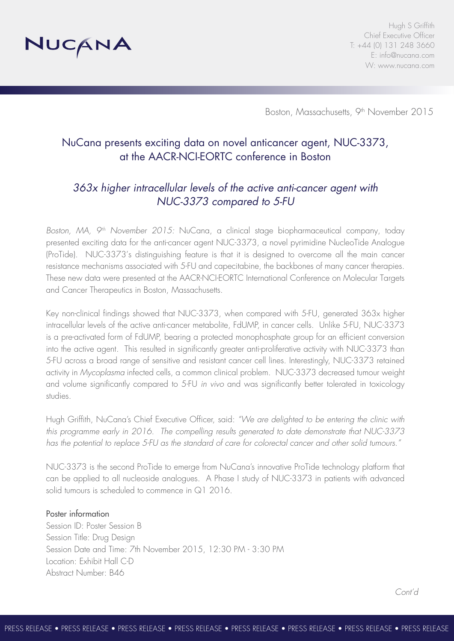

Hugh S Griffith Chief Executive Officer T: +44 (0) 131 248 3660 E: info@nucana.com W: www.nucana.com

Boston, Massachusetts, 9<sup>th</sup> November 2015

# NuCana presents exciting data on novel anticancer agent, NUC-3373, at the AACR-NCI-EORTC conference in Boston

# *363x higher intracellular levels of the active anti-cancer agent with NUC-3373 compared to 5-FU*

*Boston, MA, 9th November 2015:* NuCana, a clinical stage biopharmaceutical company, today presented exciting data for the anti-cancer agent NUC-3373, a novel pyrimidine NucleoTide Analogue (ProTide). NUC-3373's distinguishing feature is that it is designed to overcome all the main cancer resistance mechanisms associated with 5-FU and capecitabine, the backbones of many cancer therapies. These new data were presented at the AACR-NCI-EORTC International Conference on Molecular Targets and Cancer Therapeutics in Boston, Massachusetts.

Key non-clinical findings showed that NUC-3373, when compared with 5-FU, generated 363x higher intracellular levels of the active anti-cancer metabolite, FdUMP, in cancer cells. Unlike 5-FU, NUC-3373 is a pre-activated form of FdUMP, bearing a protected monophosphate group for an efficient conversion into the active agent. This resulted in significantly greater anti-proliferative activity with NUC-3373 than 5-FU across a broad range of sensitive and resistant cancer cell lines. Interestingly, NUC-3373 retained activity in *Mycoplasma* infected cells, a common clinical problem. NUC-3373 decreased tumour weight and volume significantly compared to 5-FU *in vivo* and was significantly better tolerated in toxicology studies*.*

Hugh Griffith, NuCana's Chief Executive Officer, said: *"We are delighted to be entering the clinic with this programme early in 2016. The compelling results generated to date demonstrate that NUC-3373 has the potential to replace 5-FU as the standard of care for colorectal cancer and other solid tumours."*

NUC-3373 is the second ProTide to emerge from NuCana's innovative ProTide technology platform that can be applied to all nucleoside analogues. A Phase I study of NUC-3373 in patients with advanced solid tumours is scheduled to commence in Q1 2016.

### Poster information

Session ID: Poster Session B Session Title: Drug Design Session Date and Time: 7th November 2015, 12:30 PM - 3:30 PM Location: Exhibit Hall C-D Abstract Number: B46

*Cont'd*